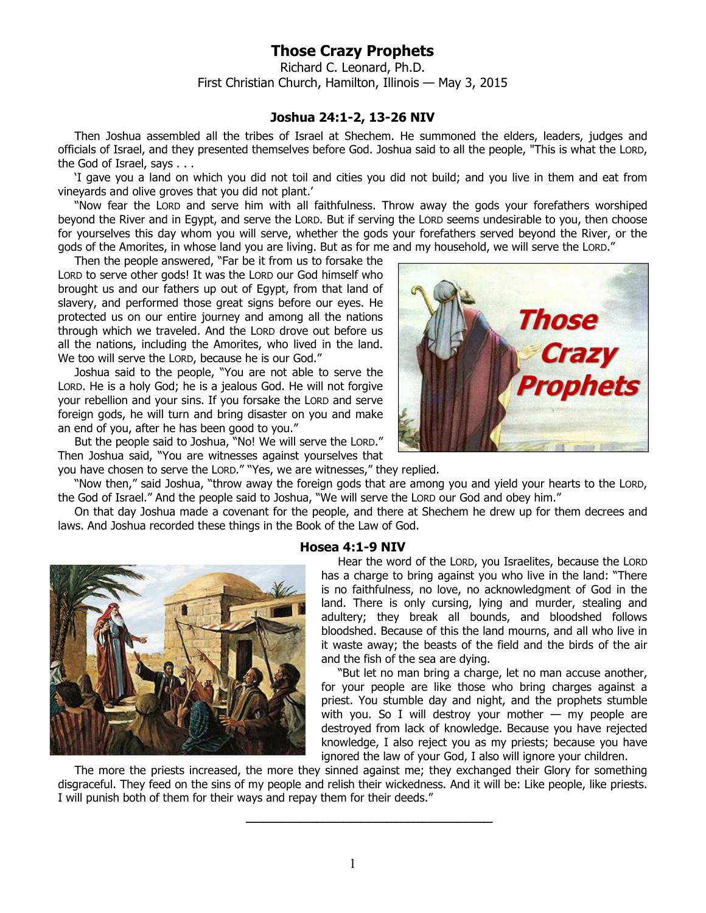## **Those Crazy Prophets**

Richard C. Leonard, Ph.D. First Christian Church, Hamilton, Illinois — May 3, 2015

## **Joshua 24:1-2, 13-26 NIV**

Then Joshua assembled all the tribes of Israel at Shechem. He summoned the elders, leaders, judges and officials of Israel, and they presented themselves before God. Joshua said to all the people, "This is what the LORD, the God of Israel, says . . .

'I gave you a land on which you did not toil and cities you did not build; and you live in them and eat from vineyards and olive groves that you did not plant.'

"Now fear the LORD and serve him with all faithfulness. Throw away the gods your forefathers worshiped beyond the River and in Egypt, and serve the LORD. But if serving the LORD seems undesirable to you, then choose for yourselves this day whom you will serve, whether the gods your forefathers served beyond the River, or the gods of the Amorites, in whose land you are living. But as for me and my household, we will serve the LORD."

Then the people answered, "Far be it from us to forsake the LORD to serve other gods! It was the LORD our God himself who brought us and our fathers up out of Egypt, from that land of slavery, and performed those great signs before our eyes. He protected us on our entire journey and among all the nations through which we traveled. And the LORD drove out before us all the nations, including the Amorites, who lived in the land. We too will serve the LORD, because he is our God."

Joshua said to the people, "You are not able to serve the LORD. He is a holy God; he is a jealous God. He will not forgive your rebellion and your sins. If you forsake the LORD and serve foreign gods, he will turn and bring disaster on you and make an end of you, after he has been good to you."

But the people said to Joshua, "No! We will serve the LORD." Then Joshua said, "You are witnesses against yourselves that



you have chosen to serve the LORD." "Yes, we are witnesses," they replied.

"Now then," said Joshua, "throw away the foreign gods that are among you and yield your hearts to the LORD, the God of Israel." And the people said to Joshua, "We will serve the LORD our God and obey him."

On that day Joshua made a covenant for the people, and there at Shechem he drew up for them decrees and laws. And Joshua recorded these things in the Book of the Law of God.



## **Hosea 4:1-9 NIV**

Hear the word of the LORD, you Israelites, because the LORD has a charge to bring against you who live in the land: "There is no faithfulness, no love, no acknowledgment of God in the land. There is only cursing, lying and murder, stealing and adultery; they break all bounds, and bloodshed follows bloodshed. Because of this the land mourns, and all who live in it waste away; the beasts of the field and the birds of the air and the fish of the sea are dying.

"But let no man bring a charge, let no man accuse another, for your people are like those who bring charges against a priest. You stumble day and night, and the prophets stumble with you. So I will destroy your mother  $-$  my people are destroyed from lack of knowledge. Because you have rejected knowledge, I also reject you as my priests; because you have ignored the law of your God, I also will ignore your children.

The more the priests increased, the more they sinned against me; they exchanged their Glory for something disgraceful. They feed on the sins of my people and relish their wickedness. And it will be: Like people, like priests. I will punish both of them for their ways and repay them for their deeds."

\_\_\_\_\_\_\_\_\_\_\_\_\_\_\_\_\_\_\_\_\_\_\_\_\_\_\_\_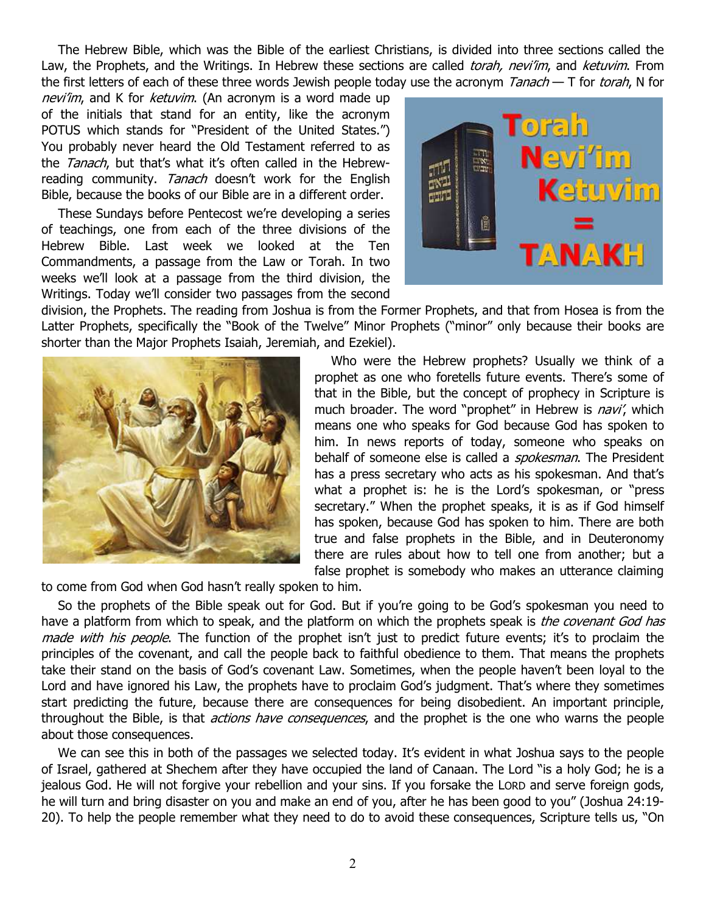The Hebrew Bible, which was the Bible of the earliest Christians, is divided into three sections called the Law, the Prophets, and the Writings. In Hebrew these sections are called torah, nevi'im, and ketuvim. From the first letters of each of these three words Jewish people today use the acronym Tanach — T for torah, N for

nevi'im, and K for ketuvim. (An acronym is a word made up of the initials that stand for an entity, like the acronym POTUS which stands for "President of the United States.") You probably never heard the Old Testament referred to as the Tanach, but that's what it's often called in the Hebrewreading community. Tanach doesn't work for the English Bible, because the books of our Bible are in a different order.

These Sundays before Pentecost we're developing a series of teachings, one from each of the three divisions of the Hebrew Bible. Last week we looked at the Ten Commandments, a passage from the Law or Torah. In two weeks we'll look at a passage from the third division, the Writings. Today we'll consider two passages from the second



division, the Prophets. The reading from Joshua is from the Former Prophets, and that from Hosea is from the Latter Prophets, specifically the "Book of the Twelve" Minor Prophets ("minor" only because their books are shorter than the Major Prophets Isaiah, Jeremiah, and Ezekiel).



Who were the Hebrew prophets? Usually we think of a prophet as one who foretells future events. There's some of that in the Bible, but the concept of prophecy in Scripture is much broader. The word "prophet" in Hebrew is *navi'*, which means one who speaks for God because God has spoken to him. In news reports of today, someone who speaks on behalf of someone else is called a *spokesman*. The President has a press secretary who acts as his spokesman. And that's what a prophet is: he is the Lord's spokesman, or "press secretary." When the prophet speaks, it is as if God himself has spoken, because God has spoken to him. There are both true and false prophets in the Bible, and in Deuteronomy there are rules about how to tell one from another; but a false prophet is somebody who makes an utterance claiming

to come from God when God hasn't really spoken to him.

So the prophets of the Bible speak out for God. But if you're going to be God's spokesman you need to have a platform from which to speak, and the platform on which the prophets speak is the covenant God has made with his people. The function of the prophet isn't just to predict future events; it's to proclaim the principles of the covenant, and call the people back to faithful obedience to them. That means the prophets take their stand on the basis of God's covenant Law. Sometimes, when the people haven't been loyal to the Lord and have ignored his Law, the prophets have to proclaim God's judgment. That's where they sometimes start predicting the future, because there are consequences for being disobedient. An important principle, throughout the Bible, is that *actions have consequences*, and the prophet is the one who warns the people about those consequences.

We can see this in both of the passages we selected today. It's evident in what Joshua says to the people of Israel, gathered at Shechem after they have occupied the land of Canaan. The Lord "is a holy God; he is a jealous God. He will not forgive your rebellion and your sins. If you forsake the LORD and serve foreign gods, he will turn and bring disaster on you and make an end of you, after he has been good to you" (Joshua 24:19- 20). To help the people remember what they need to do to avoid these consequences, Scripture tells us, "On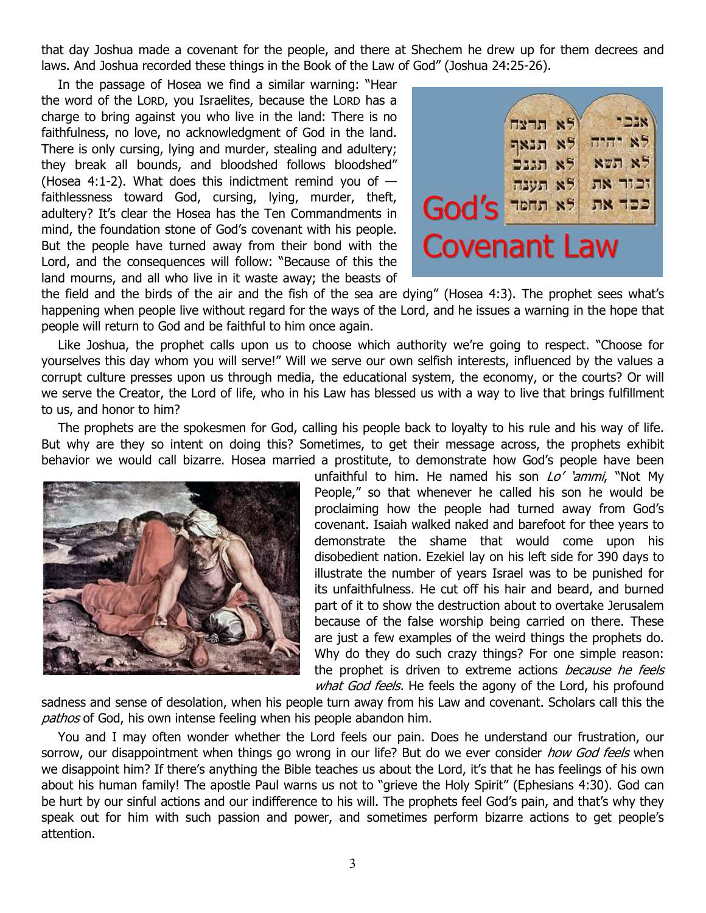that day Joshua made a covenant for the people, and there at Shechem he drew up for them decrees and laws. And Joshua recorded these things in the Book of the Law of God" (Joshua 24:25-26).

In the passage of Hosea we find a similar warning: "Hear the word of the LORD, you Israelites, because the LORD has a charge to bring against you who live in the land: There is no faithfulness, no love, no acknowledgment of God in the land. There is only cursing, lying and murder, stealing and adultery; they break all bounds, and bloodshed follows bloodshed" (Hosea 4:1-2). What does this indictment remind you of  $$ faithlessness toward God, cursing, lying, murder, theft, adultery? It's clear the Hosea has the Ten Commandments in mind, the foundation stone of God's covenant with his people. But the people have turned away from their bond with the Lord, and the consequences will follow: "Because of this the land mourns, and all who live in it waste away; the beasts of



the field and the birds of the air and the fish of the sea are dying" (Hosea 4:3). The prophet sees what's happening when people live without regard for the ways of the Lord, and he issues a warning in the hope that people will return to God and be faithful to him once again.

Like Joshua, the prophet calls upon us to choose which authority we're going to respect. "Choose for yourselves this day whom you will serve!" Will we serve our own selfish interests, influenced by the values a corrupt culture presses upon us through media, the educational system, the economy, or the courts? Or will we serve the Creator, the Lord of life, who in his Law has blessed us with a way to live that brings fulfillment to us, and honor to him?

The prophets are the spokesmen for God, calling his people back to loyalty to his rule and his way of life. But why are they so intent on doing this? Sometimes, to get their message across, the prophets exhibit behavior we would call bizarre. Hosea married a prostitute, to demonstrate how God's people have been



unfaithful to him. He named his son  $Lo'$  'ammi, "Not My People," so that whenever he called his son he would be proclaiming how the people had turned away from God's covenant. Isaiah walked naked and barefoot for thee years to demonstrate the shame that would come upon his disobedient nation. Ezekiel lay on his left side for 390 days to illustrate the number of years Israel was to be punished for its unfaithfulness. He cut off his hair and beard, and burned part of it to show the destruction about to overtake Jerusalem because of the false worship being carried on there. These are just a few examples of the weird things the prophets do. Why do they do such crazy things? For one simple reason: the prophet is driven to extreme actions *because he feels* what God feels. He feels the agony of the Lord, his profound

sadness and sense of desolation, when his people turn away from his Law and covenant. Scholars call this the pathos of God, his own intense feeling when his people abandon him.

You and I may often wonder whether the Lord feels our pain. Does he understand our frustration, our sorrow, our disappointment when things go wrong in our life? But do we ever consider how God feels when we disappoint him? If there's anything the Bible teaches us about the Lord, it's that he has feelings of his own about his human family! The apostle Paul warns us not to "grieve the Holy Spirit" (Ephesians 4:30). God can be hurt by our sinful actions and our indifference to his will. The prophets feel God's pain, and that's why they speak out for him with such passion and power, and sometimes perform bizarre actions to get people's attention.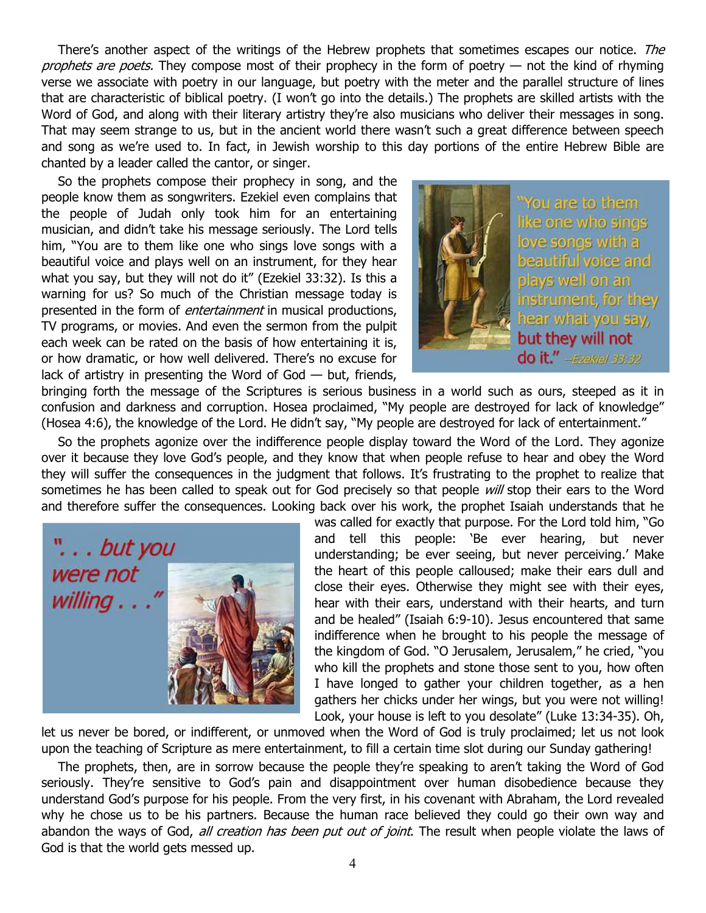There's another aspect of the writings of the Hebrew prophets that sometimes escapes our notice. The *prophets are poets.* They compose most of their prophecy in the form of poetry  $-$  not the kind of rhyming verse we associate with poetry in our language, but poetry with the meter and the parallel structure of lines that are characteristic of biblical poetry. (I won't go into the details.) The prophets are skilled artists with the Word of God, and along with their literary artistry they're also musicians who deliver their messages in song. That may seem strange to us, but in the ancient world there wasn't such a great difference between speech and song as we're used to. In fact, in Jewish worship to this day portions of the entire Hebrew Bible are chanted by a leader called the cantor, or singer.

So the prophets compose their prophecy in song, and the people know them as songwriters. Ezekiel even complains that the people of Judah only took him for an entertaining musician, and didn't take his message seriously. The Lord tells him, "You are to them like one who sings love songs with a beautiful voice and plays well on an instrument, for they hear what you say, but they will not do it" (Ezekiel 33:32). Is this a warning for us? So much of the Christian message today is presented in the form of *entertainment* in musical productions, TV programs, or movies. And even the sermon from the pulpit each week can be rated on the basis of how entertaining it is, or how dramatic, or how well delivered. There's no excuse for lack of artistry in presenting the Word of God  $-$  but, friends,



"You are to them like one who sings love songs with a beautiful voice and plays well on an instrument, for they hear what you say, but they will not do it." - Excl(je/ 33:32

bringing forth the message of the Scriptures is serious business in a world such as ours, steeped as it in confusion and darkness and corruption. Hosea proclaimed, "My people are destroyed for lack of knowledge" (Hosea 4:6), the knowledge of the Lord. He didn't say, "My people are destroyed for lack of entertainment."

So the prophets agonize over the indifference people display toward the Word of the Lord. They agonize over it because they love God's people, and they know that when people refuse to hear and obey the Word they will suffer the consequences in the judgment that follows. It's frustrating to the prophet to realize that sometimes he has been called to speak out for God precisely so that people will stop their ears to the Word and therefore suffer the consequences. Looking back over his work, the prophet Isaiah understands that he



was called for exactly that purpose. For the Lord told him, "Go and tell this people: 'Be ever hearing, but never understanding; be ever seeing, but never perceiving.' Make the heart of this people calloused; make their ears dull and close their eyes. Otherwise they might see with their eyes, hear with their ears, understand with their hearts, and turn and be healed" (Isaiah 6:9-10). Jesus encountered that same indifference when he brought to his people the message of the kingdom of God. "O Jerusalem, Jerusalem," he cried, "you who kill the prophets and stone those sent to you, how often I have longed to gather your children together, as a hen gathers her chicks under her wings, but you were not willing! Look, your house is left to you desolate" (Luke 13:34-35). Oh,

let us never be bored, or indifferent, or unmoved when the Word of God is truly proclaimed; let us not look upon the teaching of Scripture as mere entertainment, to fill a certain time slot during our Sunday gathering!

The prophets, then, are in sorrow because the people they're speaking to aren't taking the Word of God seriously. They're sensitive to God's pain and disappointment over human disobedience because they understand God's purpose for his people. From the very first, in his covenant with Abraham, the Lord revealed why he chose us to be his partners. Because the human race believed they could go their own way and abandon the ways of God, all creation has been put out of joint. The result when people violate the laws of God is that the world gets messed up.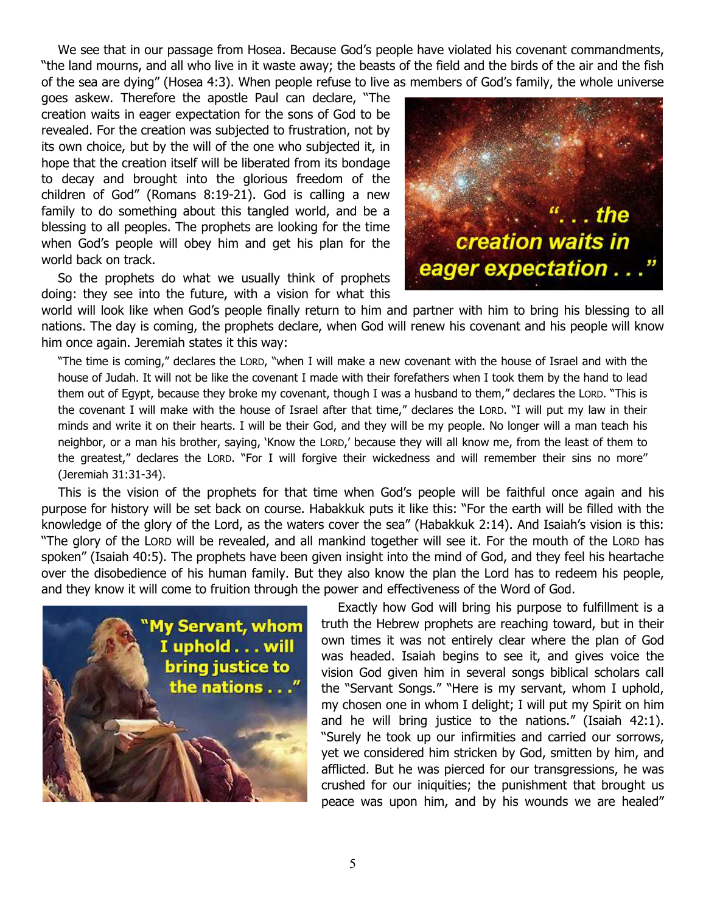We see that in our passage from Hosea. Because God's people have violated his covenant commandments, "the land mourns, and all who live in it waste away; the beasts of the field and the birds of the air and the fish of the sea are dying" (Hosea 4:3). When people refuse to live as members of God's family, the whole universe

goes askew. Therefore the apostle Paul can declare, "The creation waits in eager expectation for the sons of God to be revealed. For the creation was subjected to frustration, not by its own choice, but by the will of the one who subjected it, in hope that the creation itself will be liberated from its bondage to decay and brought into the glorious freedom of the children of God" (Romans 8:19-21). God is calling a new family to do something about this tangled world, and be a blessing to all peoples. The prophets are looking for the time when God's people will obey him and get his plan for the world back on track.

So the prophets do what we usually think of prophets doing: they see into the future, with a vision for what this



world will look like when God's people finally return to him and partner with him to bring his blessing to all nations. The day is coming, the prophets declare, when God will renew his covenant and his people will know him once again. Jeremiah states it this way:

"The time is coming," declares the LORD, "when I will make a new covenant with the house of Israel and with the house of Judah. It will not be like the covenant I made with their forefathers when I took them by the hand to lead them out of Egypt, because they broke my covenant, though I was a husband to them," declares the LORD. "This is the covenant I will make with the house of Israel after that time," declares the LORD. "I will put my law in their minds and write it on their hearts. I will be their God, and they will be my people. No longer will a man teach his neighbor, or a man his brother, saying, 'Know the LORD,' because they will all know me, from the least of them to the greatest," declares the LORD. "For I will forgive their wickedness and will remember their sins no more" (Jeremiah 31:31-34).

This is the vision of the prophets for that time when God's people will be faithful once again and his purpose for history will be set back on course. Habakkuk puts it like this: "For the earth will be filled with the knowledge of the glory of the Lord, as the waters cover the sea" (Habakkuk 2:14). And Isaiah's vision is this: "The glory of the LORD will be revealed, and all mankind together will see it. For the mouth of the LORD has spoken" (Isaiah 40:5). The prophets have been given insight into the mind of God, and they feel his heartache over the disobedience of his human family. But they also know the plan the Lord has to redeem his people, and they know it will come to fruition through the power and effectiveness of the Word of God.



Exactly how God will bring his purpose to fulfillment is a truth the Hebrew prophets are reaching toward, but in their own times it was not entirely clear where the plan of God was headed. Isaiah begins to see it, and gives voice the vision God given him in several songs biblical scholars call the "Servant Songs." "Here is my servant, whom I uphold, my chosen one in whom I delight; I will put my Spirit on him and he will bring justice to the nations." (Isaiah 42:1). "Surely he took up our infirmities and carried our sorrows, yet we considered him stricken by God, smitten by him, and afflicted. But he was pierced for our transgressions, he was crushed for our iniquities; the punishment that brought us peace was upon him, and by his wounds we are healed"